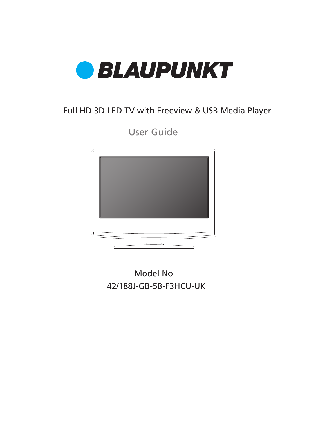

## Full HD 3D LED TV with Freeview & USB Media Player

User Guide



42/188J-GB-5B-F3HCU-UK Model No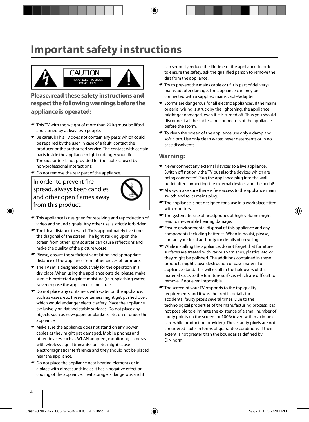## **Important safety instructions**



**Please, read these safety instructions and respect the following warnings before the appliance is operated:**

- This TV with the weight of more than 20 kg must be lifted and carried by at least two people.
- Be careful! This TV does not contain any parts which could be repaired by the user. In case of a fault, contact the producer or the authorized service. The contact with certain parts inside the appliance might endanger your life. The guarantee is not provided for the faults caused by non-professional interactions!
- Do not remove the rear part of the appliance.

#### In order to prevent fire spread, always keep candles and other open flames away from this product.



- $\bullet$  This appliance is designed for receiving and reproduction of video and sound signals. Any other use is strictly forbidden.
- $\blacktriangleright$  The ideal distance to watch TV is approximately five times the diagonal of the screen. The light striking upon the screen from other light sources can cause reflections and make the quality of the picture worse.
- $\bullet$  Please, ensure the sufficient ventilation and appropriate distance of the appliance from other pieces of furniture.
- $\bullet$  The TV set is designed exclusively for the operation in a dry place. When using the appliance outside, please, make sure it is protected against moisture (rain, splashing water). Never expose the appliance to moisture.
- $\bullet$  Do not place any containers with water on the appliance, such as vases, etc. These containers might get pushed over, which would endanger electric safety. Place the appliance exclusively on flat and stable surfaces. Do not place any objects such as newspaper or blankets, etc. on or under the appliance.
- Make sure the appliance does not stand on any power cables as they might get damaged. Mobile phones and other devices such as WLAN adapters, monitoring cameras with wireless signal transmission, etc. might cause electromagnetic interference and they should not be placed near the appliance.
- $\bullet$  Do not place the appliance near heating elements or in a place with direct sunshine as it has a negative effect on cooling of the appliance. Heat storage is dangerous and it

can seriously reduce the lifetime of the appliance. In order to ensure the safety, ask the qualified person to remove the dirt from the appliance.

- Try to prevent the mains cable or (if it is part of delivery) mains adapter damage. The appliance can only be connected with a supplied mains cable/adapter.
- $\blacktriangleright$  Storms are dangerous for all electric appliances. If the mains or aerial wiring is struck by the lightening, the appliance might get damaged, even if it is turned off. Thus you should disconnect all the cables and connectors of the appliance before the storm.
- $\bullet$  To clean the screen of the appliance use only a damp and soft cloth. Use only clean water, never detergents or in no case dissolvents.

#### **Warning:**

- Never connect any external devices to a live appliance. Switch off not only the TV but also the devices which are being connected! Plug the appliance plug into the wall outlet after connecting the external devices and the aerial!
- Always make sure there is free access to the appliance main switch and to its mains plug.
- $\blacktriangleright$  The appliance is not designed for a use in a workplace fitted with monitors.
- $\bullet$  The systematic use of headphones at high volume might lead to irreversible hearing damage.
- Ensure environmental disposal of this appliance and any components including batteries. When in doubt, please, contact your local authority for details of recycling.
- While installing the appliance, do not forget that furniture surfaces are treated with various varnishes, plastics, etc. or they might be polished. The additions contained in these products might cause destruction of base material of appliance stand. This will result in the holdovers of this material stuck to the furniture surface, which are difficult to remove, if not even impossible.
- The screen of your TV responds to the top quality requirements and it was checked in details for accidental faulty pixels several times. Due to the technological properties of the manufacturing process, it is not possible to eliminate the existence of a small number of faulty points on the screen for 100% (even with maximum care while production provided). These faulty pixels are not considered faults in terms of guarantee conditions, if their extent is not greater than the boundaries defined by DIN norm.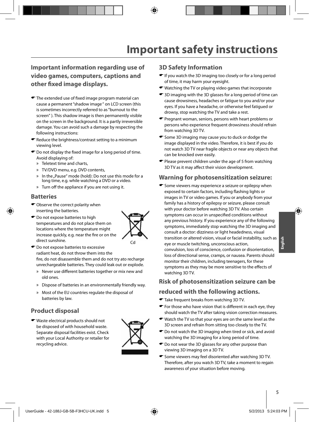### **Important information regarding use of video games, computers, captions and other fi xed image displays.**

- $\blacktriangleright$  The extended use of fixed image program material can cause a permanent "shadow image " on LCD screen (this is sometimes incorrectly referred to as "burnout to the screen" ). This shadow image is then permanently visible on the screen in the background. It is a partly irreversible damage. You can avoid such a damage by respecting the following instructions:
- $\bullet$  Reduce the brightness/contrast setting to a minimum viewing level.
- $\bullet$  Do not display the fixed image for a long period of time. Avoid displaying of:
	- » Teletext time and charts,
	- » TV/DVD menu, e.g. DVD contents,
	- In the "Pause" mode (hold): Do not use this mode for a long time, e.g. while watching a DVD or a video.
	- » Turn off the appliance if you are not using it.

#### **Batteries**

- $\bullet$  Observe the correct polarity when inserting the batteries.
- $\bullet$  Do not expose batteries to high temperatures and do not place them on locations where the temperature might increase quickly, e.g. near the fire or on the direct sunshine.



- $\bullet$  Do not expose batteries to excessive radiant heat, do not throw them into the fire, do not disassemble them and do not try ato recharge unrechargeable batteries. They could leak out or explode.
	- » Never use different batteries together or mix new and old ones.
	- » Dispose of batteries in an environmentally friendly way.
	- » Most of the EU countries regulate the disposal of batteries by law.

#### **Product disposal**

Waste electrical products should not be disposed of with household waste. Separate disposal facilities exist. Check with your Local Authority or retailer for recycling advice.



#### **3D Safety Information**

- If you watch the 3D imaging too closely or for a long period of time, it may harm your eyesight.
- Watching the TV or playing video games that incorporate
- 3D imaging with the 3D glasses for a long period of time can cause drowsiness, headaches or fatigue to you and/or your eyes. If you have a headache, or otherwise feel fatigued or drowsy, stop watching the TV and take a rest.
- **T** Pregnant woman, seniors, persons with heart problems or persons who experience frequent drowsiness should refrain from watching 3D TV.
- Some 3D imaging may cause you to duck or dodge the image displayed in the video. Therefore, it is best if you do not watch 3D TV near fragile objects or near any objects that can be knocked over easily.
- Please prevent children under the age of 5 from watching 3D TV as it may affect their vision development.

#### **Warning for photosensitization seizure:**

 $\bullet$  Some viewers may experience a seizure or epilepsy when exposed to certain factors, including flashing lights or images in TV or video games. If you or anybody from your family has a history of epilepsy or seizure, please consult with your doctor before watching 3D TV. Also certain symptoms can occur in unspecified conditions without any previous history. If you experience any of the following symptoms, immediately stop watching the 3D imaging and consult a doctor: dizziness or light headedness, visual transition or altered vision, visual or facial instability, such as eye or muscle twitching, unconscious action, convulsion, loss of conscience, confusion or disorientation, loss of directional sense, cramps, or nausea. Parents should monitor their children, including teenagers, for these symptoms as they may be more sensitive to the effects of watching 3D TV.

#### **Risk of photosensitization seizure can be**

#### **reduced with the following actions.**

- Take frequent breaks from watching 3D TV.
- $\blacktriangleright$  For those who have vision that is different in each eye, they should watch the TV after taking vision correction measures.
- Watch the TV so that your eyes are on the same level as the 3D screen and refrain from sitting too closely to the TV.
- Do not watch the 3D imaging when tired or sick, and avoid watching the 3D imaging for a long period of time.
- $\bullet$  Do not wear the 3D glasses for any other purpose than viewing 3D imaging on a 3D TV.
- $\bullet$  Some viewers may feel disoriented after watching 3D TV. Therefore, after you watch 3D TV, take a moment to regain awareness of your situation before moving.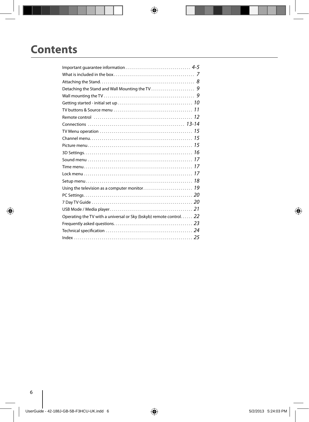## **Contents**

| Operating the TV with a universal or Sky (bskyb) remote control 22 |  |
|--------------------------------------------------------------------|--|
|                                                                    |  |
|                                                                    |  |
|                                                                    |  |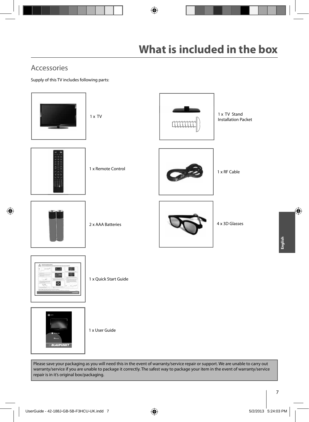## Accessories

Supply of this TV includes following parts:



Please save your packaging as you will need this in the event of warranty/service repair or support. We are unable to carry out warranty/service if you are unable to package it correctly. The safest way to package your item in the event of warranty/service repair is in it's original box/packaging.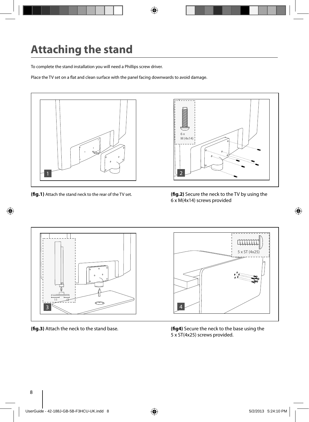# **Attaching the stand**

To complete the stand installation you will need a Phillips screw driver.

Place the TV set on a flat and clean surface with the panel facing downwards to avoid damage.



**(fig.1)** Attach the stand neck to the rear of the TV set. **(fig.2)** Secure the neck to the TV by using the 6 x M(4x14) screws provided



**(fig.3)** Attach the neck to the stand base. **(fig4)** Secure the neck to the base using the 5 x ST(4x25) screws provided.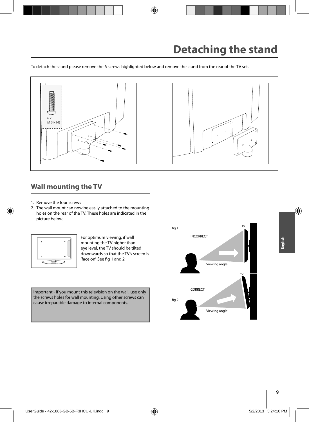To detach the stand please remove the 6 screws highlighted below and remove the stand from the rear of the TV set.



## **Wall mounting the TV**

- 1. Remove the four screws
- 2. The wall mount can now be easily attached to the mounting holes on the rear of the TV. These holes are indicated in the picture below.



For optimum viewing, if wall mounting the TV higher than eye level, the TV should be tilted downwards so that the TV's screen is 'face on'. See fig 1 and 2

Important - If you mount this television on the wall, use only the screws holes for wall mounting. Using other screws can cause irreparable damage to internal components.

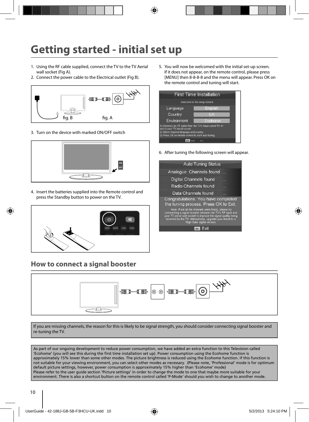## **Getting started - initial set up**

- 1. Using the RF cable supplied, connect the TV to the TV Aerial wall socket (Fig A).
- 2. Connect the power cable to the Electrical outlet (Fig B).



3. Turn on the device with marked ON/OFF switch



4. Insert the batteries supplied into the Remote control and press the Standby button to power on the TV.



## **How to connect a signal booster**

5. You will now be welcomed with the initial set-up screen. If it does not appear, on the remote control, please press [MENU] then 8-8-8-8 and the menu will appear. Press OK on the remote control and tuning will start.



6. After tuning the following screen will appear.

| <b>Auto Tuning Status</b>                                                                                                                                                                                                                                                           |  |
|-------------------------------------------------------------------------------------------------------------------------------------------------------------------------------------------------------------------------------------------------------------------------------------|--|
| Analogue Channels found                                                                                                                                                                                                                                                             |  |
| Digital Channels found                                                                                                                                                                                                                                                              |  |
| Radio Channels found                                                                                                                                                                                                                                                                |  |
| Data Channels found                                                                                                                                                                                                                                                                 |  |
| Congratulations. You have completed<br>the tuning process. Press OK to Exit.                                                                                                                                                                                                        |  |
| Note: If not all the channels were found, please try<br>connnecting a signal booster between the TV's RF input and<br>your TV aerial wall socket to improve the signal quality being<br>received by the TV. Alternatively, upgrade your Aerial to a<br>'High Gain' digital version. |  |
| OK                                                                                                                                                                                                                                                                                  |  |
|                                                                                                                                                                                                                                                                                     |  |



If you are missing channels, the reason for this is likely to be signal strength, you should consider connecting signal booster and re-tuning the TV.

As part of our ongoing development to reduce power consumption, we have added an extra function to this Television called<br>'Ecohome' (you will see this during the first time installation set up). Power consumption using the approximately 15% lower than some other modes. The picture brightness is reduced using the Ecohome function. If this function is not suitable for your viewing environment, you can select other modes as necessary. (Please note, 'Professional' mode is for optimum default picture settings, however, power consumption is approximately 15% higher than 'Ecohome' mode) Please refer to the user guide section 'Picture settings' in order to change the mode to one that maybe more suitable for your environment. There is also a shortcut button on the remote control called 'P-Mode' should you wish to change to another mode.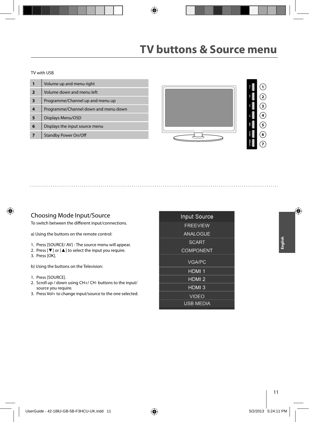#### TV with USB

|                         | Volume up and menu right             |
|-------------------------|--------------------------------------|
| $\overline{\mathbf{2}}$ | Volume down and menu left            |
|                         | Programme/Channel up and menu up     |
| 4                       | Programme/Channel down and menu down |
| 5                       | Displays Menu/OSD                    |
| 6                       | Displays the input source menu       |
|                         | <b>Standby Power On/Off</b>          |



#### Choosing Mode Input/Source

To switch between the different input/connections.

a) Using the buttons on the remote control:

- 1. Press [SOURCE/ AV] The source menu will appear.
- 2. Press [▼] or [▲] to select the input you require.
- 3. Press [OK].

b) Using the buttons on the Television:

- 1. Press [SOURCE].
- 2. Scroll up / down using CH+/ CH- buttons to the input/ source you require.
- 3. Press Vol+ to change input/source to the one selected.

| <b>Input Source</b> |  |
|---------------------|--|
| <b>FREEVIEW</b>     |  |
| <b>ANALOGUE</b>     |  |
| <b>SCART</b>        |  |
| <b>COMPONENT</b>    |  |
| <b>VGA/PC</b>       |  |
| HDMI <sub>1</sub>   |  |
| HDMI <sub>2</sub>   |  |
| HDMI <sub>3</sub>   |  |
| <b>VIDEO</b>        |  |
| <b>USB MEDIA</b>    |  |
|                     |  |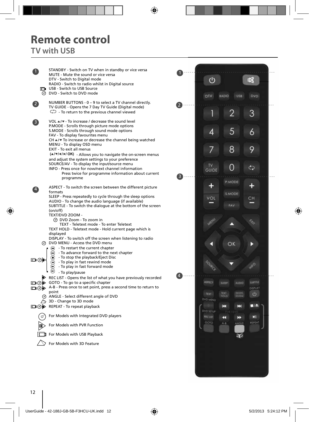## **Remote control**

## **TV with USB**

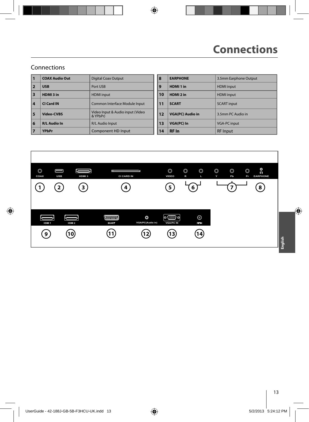### Connections

| 11                      | <b>COAX Audio Out</b> | <b>Digital Coax Output</b>                   | 8  | <b>EARPHONE</b>         | 3.5mm Earphone Output |
|-------------------------|-----------------------|----------------------------------------------|----|-------------------------|-----------------------|
| 2                       | <b>USB</b>            | Port USB                                     | 9  | HDMI <sub>1</sub> in    | <b>HDMI</b> input     |
| $\overline{\mathbf{3}}$ | HDMI3 in              | <b>HDMI</b> input                            | 10 | HDMI <sub>2</sub> in    | <b>HDMI</b> input     |
| $\overline{4}$          | CI Card IN            | Common Interface Module Input                | 11 | <b>SCART</b>            | <b>SCART</b> input    |
| 5                       | Video-CVRS            | Video Input & Audio input (Video<br>& YPbPr) | 12 | <b>VGA(PC) Audio in</b> | 3.5mm PC Audio in     |
| 6                       | <b>R/L Audio In</b>   | R/L Audio Input                              | 13 | <b>VGA(PC)</b> In       | <b>VGA-PC input</b>   |
|                         | <b>YPbPr</b>          | Component HD Input                           | 14 | <b>RF</b> In            | <b>RF</b> Input       |

| <b>Digital Coax Output</b>                   | 8  | <b>EARPHONE</b>         | 3.5mm Earphone Output |
|----------------------------------------------|----|-------------------------|-----------------------|
| Port USB                                     | 9  | HDMI <sub>1</sub> in    | <b>HDMI</b> input     |
| <b>HDMI</b> input                            | 10 | HDMI <sub>2</sub> in    | <b>HDMI</b> input     |
| Common Interface Module Input                | 11 | <b>SCART</b>            | <b>SCART</b> input    |
| Video Input & Audio input (Video<br>& YPbPr) | 12 | <b>VGA(PC) Audio in</b> | 3.5mm PC Audio in     |
| R/L Audio Input                              | 13 | <b>VGA(PC)</b> In       | <b>VGA-PC input</b>   |
| Component HD Input                           | 14 | <b>RF</b> In            | <b>RF</b> Input       |
|                                              |    |                         |                       |

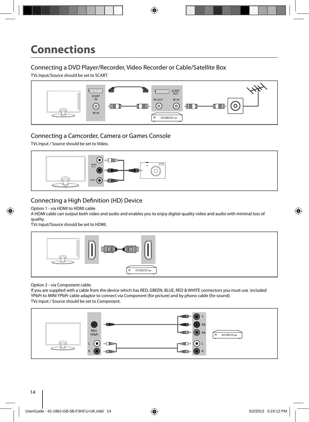### Connecting a DVD Player/Recorder, Video Recorder or Cable/Satellite Box

TVs Input/Source should be set to SCART.



### Connecting a Camcorder, Camera or Games Console

TVs Input / Source should be set to Video.



### Connecting a High Definition (HD) Device

Option 1 - via HDMI to HDMI cable

A HDMI cable can output both video and audio and enables you to enjoy digital-quality video and audio with minimal loss of quality.

TVs Input/Source should be set to HDMI.



Option 2 - via Component cable.

If you are supplied with a cable from the device which has RED, GREEN, BLUE, RED & WHITE connectors you must use included YPbPr to MINI YPbPr cable adaptor to connect via Component (for picture) and by phono cable (for sound). TVs Input / Source should be set to Component.

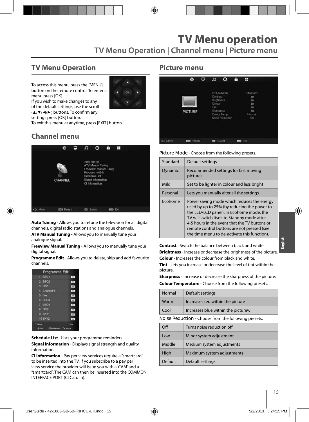## **TV Menu Operation**

To access this menu, press the [MENU] button on the remote control. To enter a menu press [OK]



If you wish to make changes to any of the default settings, use the scroll (▲/▼/◀/▶) buttons. To confirm any

settings press [OK] button.

To exit this menu at anytime, press [EXIT] button.

## **Channel menu**



**Auto Tuning** - Allows you to retune the television for all digital channels, digital radio stations and analogue channels.

**ATV Manual Tuning** - Allows you to manually tune your analogue signal.

**Freeview Manual Tuning** - Allows you to manually tune your digital signal.

**Programme Edit** - Allows you to delete, skip and add favourite channels.

| Programme Edit        |             |
|-----------------------|-------------|
| 1 BBC1                | Lens        |
| $2$ BBC <sub>2</sub>  | DV-         |
| $3$ ITV1              | <b>TWE</b>  |
| <b>Channel 4</b><br>п | 179         |
| five<br>я             | 184         |
| 6 BBC3                | 100         |
| 7 BBC4                | $-014$      |
| B ITV2                | cere.       |
| 9 SKY1                | <b>STE-</b> |
| <b>10 SKY2</b>        | 104         |
| Detaile               |             |

**Schedule List** - Lists your programme reminders. **Signal Information** - Displays signal strength and quality information.

**CI Information** - Pay per view services require a "smartcard" to be inserted into the TV. If you subscribe to a pay per view service the provider will issue you with a 'CAM' and a "smartcard". The CAM can then be inserted into the COMMON INTERFACE PORT (CI Card In).

#### **Picture menu**

|          | 资                | ₽ | л                                                                   | ര                                              | a | Ħ                                                      |  |
|----------|------------------|---|---------------------------------------------------------------------|------------------------------------------------|---|--------------------------------------------------------|--|
|          | <b>PICTURE</b>   |   | Contrast<br><b>Brightness</b><br>Colour<br>Tint<br><b>Sharpness</b> | Picture Mode<br>Colour Temp<br>Noise Reduction |   | Standard<br>50<br>50<br>50<br>50<br>50<br>Normal<br>Ön |  |
| +2+ Move | <b>EE</b> Return |   | ne.                                                                 | Select                                         |   | ton Ext                                                |  |

**Picture Mode** - Choose from the following presets.

| Standard | Default settings                                                                                                                                                                                                                                                                                                                     |
|----------|--------------------------------------------------------------------------------------------------------------------------------------------------------------------------------------------------------------------------------------------------------------------------------------------------------------------------------------|
| Dynamic  | Recommended settings for fast moving<br>pictures                                                                                                                                                                                                                                                                                     |
| Mild     | Set to be lighter in colour and less bright                                                                                                                                                                                                                                                                                          |
| Personal | Lets you manually alter all the settings                                                                                                                                                                                                                                                                                             |
| Ecohome  | Power saving mode which reduces the energy<br>used by up to 25% (by reducing the power to<br>the LED/LCD panel). In Ecohome mode, the<br>TV will switch itself to Standby mode after<br>4-5 hours in the event that the TV buttons or<br>remote control buttons are not pressed (see<br>the time menu to de-activate this function). |

**Contrast** - Switch the balance between black and white. **Brightness** - Increase or decrease the brightness of the picture. **Colour** - Increases the colour from black and white.

**Tint** - Lets you increase or decrease the level of tint within the picture.

**Sharpness** - Increase or decrease the sharpness of the picture.

**Colour Temperature** - Choose from the following presets.

| Normal                                               | Default settings                   |  |
|------------------------------------------------------|------------------------------------|--|
| Warm                                                 | Increases red within the picture   |  |
| Cool                                                 | Increases blue within the picturew |  |
| Noise Reduction - Choose from the following presets. |                                    |  |
|                                                      |                                    |  |

| $\Omega$ | Turns noise reduction off  |
|----------|----------------------------|
| Low      | Minor system adjustment    |
| Middle   | Medium system adjustments  |
| High     | Maximum system adjustments |
| Default  | Default settings           |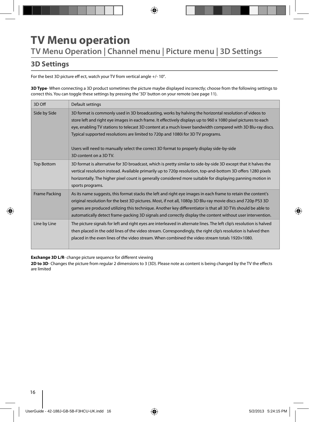## **TV Menu operation TV Menu Operation | Channel menu | Picture menu | 3D Settings**

## **3D Settings**

For the best 3D picture eff ect, watch your TV from vertical angle +/- 10°.

**3D Type**- When connecting a 3D product sometimes the picture maybe displayed incorrectly; choose from the following settings to correct this. You can toggle these settings by pressing the '3D' button on your remote (see page 11).

| 3D Off               | Default settings                                                                                                                                                                                                                                                                                                                                                                                                                                                                                                                                 |
|----------------------|--------------------------------------------------------------------------------------------------------------------------------------------------------------------------------------------------------------------------------------------------------------------------------------------------------------------------------------------------------------------------------------------------------------------------------------------------------------------------------------------------------------------------------------------------|
| Side by Side         | 3D format is commonly used in 3D broadcasting, works by halving the horizontal resolution of videos to<br>store left and right eye images in each frame. It effectively displays up to 960 x 1080 pixel pictures to each<br>eye, enabling TV stations to telecast 3D content at a much lower bandwidth compared with 3D Blu-ray discs.<br>Typical supported resolutions are limited to 720p and 1080i for 3D TV programs.<br>Users will need to manually select the correct 3D format to properly display side-by-side<br>3D content on a 3D TV. |
| <b>Top Bottom</b>    | 3D format is alternative for 3D broadcast, which is pretty similar to side-by-side 3D except that it halves the<br>vertical resolution instead. Available primarily up to 720p resolution, top-and-bottom 3D offers 1280 pixels<br>horizontally. The higher pixel count is generally considered more suitable for displaying panning motion in<br>sports programs.                                                                                                                                                                               |
| <b>Frame Packing</b> | As its name suggests, this format stacks the left and right eye images in each frame to retain the content's<br>original resolution for the best 3D pictures. Most, if not all, 1080p 3D Blu-ray movie discs and 720p PS3 3D<br>games are produced utilizing this technique. Another key differentiator is that all 3D TVs should be able to<br>automatically detect frame-packing 3D signals and correctly display the content without user intervention.                                                                                       |
| Line by Line         | The picture signals for left and right eyes are interleaved in alternate lines. The left clip's resolution is halved<br>then placed in the odd lines of the video stream. Correspondingly, the right clip's resolution is halved then<br>placed in the even lines of the video stream. When combined the video stream totals 1920×1080.                                                                                                                                                                                                          |

**Exchange 3D L/R-** change picture sequence for different viewing

2D to 3D- Changes the picture from regular 2 dimensions to 3 (3D). Please note as content is being changed by the TV the effects are limited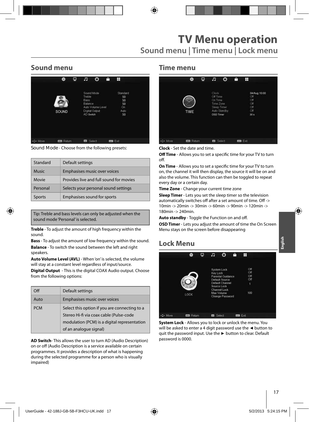## **Sound menu**

|         | 娄                 | Φ | л                                             | O                                                 | A | H                                              |  |
|---------|-------------------|---|-----------------------------------------------|---------------------------------------------------|---|------------------------------------------------|--|
|         | SOUND             |   | Treble<br><b>Bass</b><br>Balance<br>AD Switch | Sound Mode<br>Auto Volume Level<br>Digital Output |   | Standard<br>50<br>50<br>50<br>On<br>Auto<br>50 |  |
| C+ Move | <b>EDS</b> Return |   | O(                                            | Select                                            |   | <b>ma</b> Exit                                 |  |

**Sound Mode** - Choose from the following presets:

| Standard      | Default settings                        |
|---------------|-----------------------------------------|
| <b>Music</b>  | Emphasises music over voices            |
| Movie         | Provides live and full sound for movies |
| Personal      | Selects your personal sound settings    |
| <b>Sports</b> | Emphasises sound for sports             |

Tip: Treble and bass levels can only be adjusted when the sound mode 'Personal' is selected.

**Treble** - To adjust the amount of high frequency within the sound.

**Bass** - To adjust the amount of low frequency within the sound. **Balance** - To switch the sound between the left and right speakers.

**Auto Volume Level (AVL)** - When 'on' is selected, the volume will stay at a constant level regardless of input/source.

**Digital Output** - This is the digital COAX Audio output. Choose from the following options:

| Ωff        | Default settings                                                                                                                                                   |
|------------|--------------------------------------------------------------------------------------------------------------------------------------------------------------------|
| Auto       | Emphasises music over voices                                                                                                                                       |
| <b>PCM</b> | Select this option if you are connecting to a<br>Stereo Hi-fi via coax cable (Pulse-code<br>modulation (PCM) is a digital representation<br>of an analogue signal) |

**AD Switch**- This allows the user to turn AD (Audio Description) on or off (Audio Description is a service available on certain programmes. It provides a description of what is happening during the selected programme for a person who is visually impaired)

#### **Time menu**

|          | 资      | ₽ | F                                                                     | ⊙            | ê | H                                                                  |  |
|----------|--------|---|-----------------------------------------------------------------------|--------------|---|--------------------------------------------------------------------|--|
|          | TIME   |   | Clock<br>Off Time<br>On Time<br>Time Zone<br>Sleep Timer<br>OSD Timer | Auto Standby |   | 04/Aug 10:00<br>Off<br>Off<br>Off<br>Öff<br>Off<br>30 <sub>3</sub> |  |
| +1+ Move | Return |   | <b>Ed</b> Select                                                      |              |   | <b>Do</b> Exit                                                     |  |

**Clock** - Set the date and time.

**Off Time** - Allows you to set a specific time for your TV to turn off .

**On Time** - Allows you to set a specific time for your TV to turn on, the channel it will then display, the source it will be on and also the volume. This function can then be toggled to repeat every day or a certain day.

**Time Zone** - Change your current time zone

**Sleep Timer** - Lets you set the sleep timer so the television automatically switches off after a set amount of time. Off -> 10min -> 20min -> 30min -> 60min -> 90min -> 120min -> 180min -> 240min.

Auto standby - Toggle the Function on and off.

**OSD Timer** - Lets you adjust the amount of time the On Screen Menu stays on the screen before disappearing

## **Lock Menu**



**System Lock** - Allows you to lock or unlock the menu. You will be asked to enter a 4 digit password use the **◄** button to quit the password input. Use the **►** button to clear. Default password is 0000.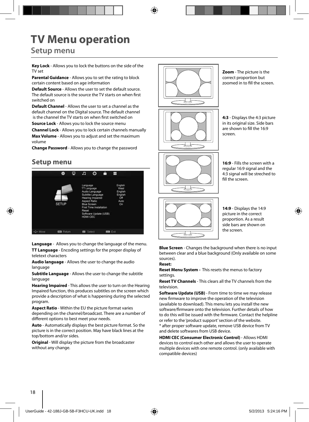# **TV Menu operation**

## **Setup menu**

**Key Lock** - Allows you to lock the buttons on the side of the TV set

**Parental Guidance** - Allows you to set the rating to block certain content based on age information

**Default Source** - Allows the user to set the default source. The default source is the source the TV starts on when first switched on

**Default Channel** - Allows the user to set a channel as the default channel on the Digital source. The default channel is the channel the TV starts on when first switched on

**Source Lock** - Allows you to lock the source menu

**Channel Lock** - Allows you to lock certain channels manually **Max Volume** - Allows you to adjust and set the maximum volume

**Change Password** - Allows you to change the password

### **Setup menu**



**Language** - Allows you to change the language of the menu. **TT Language** - Encoding settings for the proper display of teletext characters

**Audio language** - Allows the user to change the audio language

**Subtitle Language** - Allows the user to change the subtitle language

**Hearing Impaired** - This allows the user to turn on the Hearing Impaired function, this produces subtitles on the screen which provide a description of what is happening during the selected program.

**Aspect Ratio** - Within the EU the picture format varies depending on the channel/broadcast. There are a number of different options to best meet your needs.

**Auto** - Automatically displays the best picture format. So the picture is in the correct position. May have black lines at the top/bottom and/or sides.

**Original** - Will display the picture from the broadcaster without any change.



**Zoom** - The picture is the correct proportion but zoomed in to fill the screen.

**4:3** - Displays the 4:3 picture in its original size. Side bars are shown to fill the 16:9 screen.

**16:9** - Fills the screen with a regular 16:9 signal and the 4:3 signal will be streched to fill the screen



**14:9** - Displays the 14:9 picture in the correct proportion. As a result side bars are shown on the screen.

**Blue Screen** - Changes the background when there is no input between clear and a blue background (Only available on some sources).

#### **Reset:**

**Reset Menu System -** This resets the menus to factory settings.

**Reset TV Channels** - This clears all the TV channels from the television.

**Software Update (USB)** - From time to time we may release new firmware to improve the operation of the television (available to download). This menu lets you install the new software/firmware onto the television. Further details of how to do this will be issued with the firmware. Contact the helpline or refer to the 'product support' section of the website. \* after proper software update, remove USB device from TV and delete softwares from USB device.

**HDMI CEC (Consumer Electronic Control)** - Allows HDMI devices to control each other and allows the user to operate multiple devices with one remote control. (only available with compatible devices)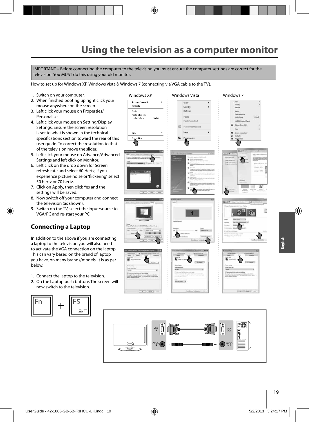IMPORTANT – Before connecting the computer to the television you must ensure the computer settings are correct for the television. You MUST do this using your old monitor.

How to set up for Windows XP, Windows Vista & Windows 7 (connecting via VGA cable to the TV).

- 1. Switch on your computer.
- 2. When finished booting up right click your mouse anywhere on the screen.
- 3. Left click your mouse on Properties/ Personalise.
- 4. Left click your mouse on Setting/Display Settings. Ensure the screen resolution is set to what is shown in the technical specifications section toward the rear of this user guide. To correct the resolution to that of the television move the slider.
- 5. Left click your mouse on Advance/Advanced Settings and left click on Monitor.
- 6. Left click on the drop down for Screen refresh rate and select 60 Hertz, if you experience picture noise or 'flickering', select 50 hertz or 70 hertz.
- 7. Click on Apply, then click Yes and the settings will be saved.
- 8. Now switch off your computer and connect the television (as shown).
- 9. Switch on the TV, select the input/source to VGA/PC and re-start your PC.

### **Connecting a Laptop**

In addition to the above if you are connecting a laptop to the television you will also need to activate the VGA connection on the laptop. This can vary based on the brand of laptop you have, on many brands/models, it is as per below.

- 1. Connect the laptop to the television.
- 2. On the Laptop push buttons The screen will now switch to the television.



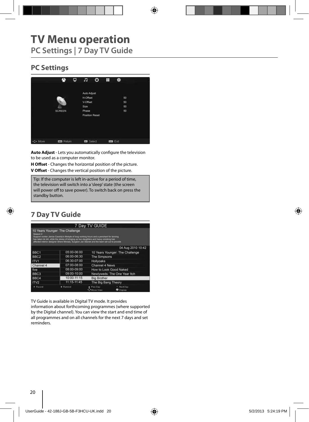## **TV Menu operation PC Settings | 7 Day TV Guide**

## **PC Settings**



Auto Adjust - Lets you automatically configure the television to be used as a computer monitor.

**H Offset** - Changes the horizontal position of the picture. **V Offset** - Changes the vertical position of the picture.

Tip: If the computer is left in-active for a period of time, the television will switch into a 'sleep' state (the screen  $\vert$  will power off to save power). To switch back on press the **Postandby button. Postandby button.** Settings back to the original settings of  $\mathbb{R}$ 

## **7 Day TV Guide**

|                  |                                                                                                                                                                                                                                                                                                                         | 7 Day TV GUIDE        |                                 |
|------------------|-------------------------------------------------------------------------------------------------------------------------------------------------------------------------------------------------------------------------------------------------------------------------------------------------------------------------|-----------------------|---------------------------------|
| Season 2         | 10 Years Younger: The Challenge<br>Support worker Janice Cassidy's lifestyle of long working hours and a penchant for tanning<br>has taken its toll, while the stress of bringing up two daughters and heavy smoking has<br>affected interior designer Shere Morady. Surgeon Jan Stanek and the team set out to provide |                       |                                 |
|                  |                                                                                                                                                                                                                                                                                                                         |                       | 04 Aug 2010 10:42               |
| BBC <sub>1</sub> | 05:00-06:00                                                                                                                                                                                                                                                                                                             |                       | 10 Years Younger: The Challenge |
| BBC <sub>2</sub> | 06:00-06:30                                                                                                                                                                                                                                                                                                             | The Simpsons          |                                 |
| ITV1             | 06:30-07:00                                                                                                                                                                                                                                                                                                             | Hollyoaks             |                                 |
| Channel 4        | 07:00-08:00                                                                                                                                                                                                                                                                                                             | Channel 4 News        |                                 |
| five             | 08:00-09:00                                                                                                                                                                                                                                                                                                             |                       | How to Look Good Naked          |
| BBC <sub>3</sub> | 09:00-10:00                                                                                                                                                                                                                                                                                                             |                       | Newlyweds: The One Year Itch    |
| BBC4             | 10:00-11:15                                                                                                                                                                                                                                                                                                             | <b>Big Brother</b>    |                                 |
| ITV <sub>2</sub> | 11:15-11:45                                                                                                                                                                                                                                                                                                             | The Big Bang Theory   |                                 |
| * Record         | * Remind                                                                                                                                                                                                                                                                                                                | Prev.Day<br>Maye View | Next Day<br><b>O</b> Diretay    |

TV Guide is available in Digital TV mode. It provides

information about forthcoming programmes (where supported by the Digital channel). You can view the start and end time of all programmes and on all channels for the next 7 days and set reminders.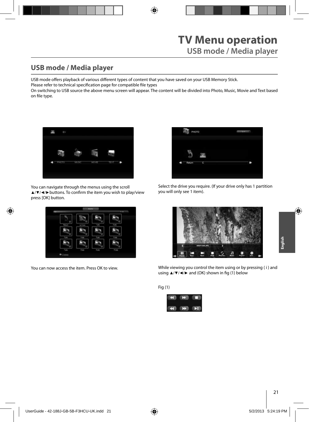**English**

## **USB mode / Media player**

USB mode offers playback of various different types of content that you have saved on your USB Memory Stick.

Please refer to technical specification page for compatible file types

On switching to USB source the above menu screen will appear. The content will be divided into Photo, Music, Movie and Text based on file type.



You can navigate through the menus using the scroll ▲/▼/◀/► buttons. To confirm the item you wish to play/view press [OK] button.



You can now access the item. Press OK to view.



Select the drive you require. (If your drive only has 1 partition you will only see 1 item).



While viewing you control the item using or by pressing ( i ) and using  $\triangle$ /▼/◀/► and (OK) shown in fig (1) below

#### Fig (1)

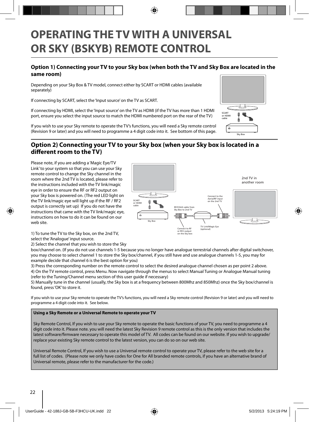## **OPERATING THE TV WITH A UNIVERSAL OR SKY (BSKYB) REMOTE CONTROL**

#### **Option 1) Connecting your TV to your Sky box (when both the TV and Sky Box are located in the same room)**

Depending on your Sky Box & TV model, connect either by SCART or HDMI cables (available separately)

If connecting by SCART, select the 'Input source' on the TV as SCART.

If connecting by HDMI, select the 'Input source' on the TV as HDMI (if the TV has more than 1 HDMI port, ensure you select the input source to match the HDMI numbered port on the rear of the TV)

If you wish to use your Sky remote to operate the TV's functions, you will need a Sky remote control (Revision 9 or later) and you will need to programme a 4 digit code into it. See bottom of this page.

#### **Option 2) Connecting your TV to your Sky box (when your Sky box is located in a diff erent room to the TV)**

Please note, if you are adding a 'Magic Eye/TV Link' to your system so that you can use your Sky remote control to change the Sky channel in the room where the 2nd TV is located, please refer to the instructions included with the TV link/magic eye in order to ensure the RF or RF2 output on your Sky box is powered on. (The red LED light on the TV link/magic eye will light up if the RF / RF2 output is correctly set up) If you do not have the instructions that came with the TV link/magic eye, instructions on how to do it can be found on our web site.



1) To tune the TV to the Sky box, on the 2nd TV, select the 'Analogue' input source.

2) Select the channel that you wish to store the Sky

box/channel on. (If you do not use channels 1-5 because you no longer have analogue terrestrial channels after digital switchover, you may choose to select channel 1 to store the Sky box/channel, if you still have and use analogue channels 1-5, you may for example decide that channel 6 is the best option for you)

3) Press the corresponding number on the remote control to select the desired analogue channel chosen as per point 2 above. 4) On the TV remote control, press Menu. Now navigate through the menus to select Manual Tuning or Analogue Manual tuning (refer to the Tuning/Channel menu section of this user guide if necessary)

5) Manually tune in the channel (usually, the Sky box is at a frequency between 800Mhz and 850Mhz) once the Sky box/channel is found, press 'OK' to store it.

If you wish to use your Sky remote to operate the TV's functions, you will need a Sky remote control (Revision 9 or later) and you will need to programme a 4 digit code into it. See below.

#### **Using a Sky Remote or a Universal Remote to operate your TV**

Sky Remote Control, If you wish to use your Sky remote to operate the basic functions of your TV, you need to programme a 4 digit code into it. Please note. you will need the latest Sky Revision 9 remote control as this is the only version that includes the latest software/firmware necessary to operate this model of TV. All codes can be found on our website. If you wish to upgrade/ replace your existing Sky remote control to the latest version, you can do so on our web site.

Universal Remote Control, If you wish to use a Universal remote control to operate your TV, please refer to the web site for a full list of codes. (Please note we only have codes for One for All branded remote controls, if you have an alternative brand of Universal remote, please refer to the manufacturer for the code.)

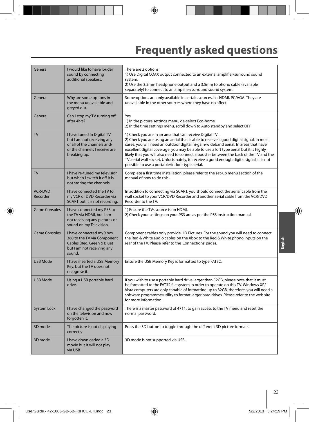# **Frequently asked questions**

| General                    | I would like to have louder<br>sound by connecting<br>additional speakers.                                                               | There are 2 options:<br>1) Use Digital COAX output connected to an external amplifier/surround sound<br>system.<br>2) Use the 3.5mm headphone output and a 3.5mm to phono cable (available<br>separately) to connect to an amplifier/surround sound system.                                                                                                                                                                                                                                                                                                                  |
|----------------------------|------------------------------------------------------------------------------------------------------------------------------------------|------------------------------------------------------------------------------------------------------------------------------------------------------------------------------------------------------------------------------------------------------------------------------------------------------------------------------------------------------------------------------------------------------------------------------------------------------------------------------------------------------------------------------------------------------------------------------|
| General                    | Why are some options in<br>the menu unavailable and<br>greyed out.                                                                       | Some options are only available in certain sources, i.e. HDMI, PC/VGA. They are<br>unavailable in the other sources where they have no affect.                                                                                                                                                                                                                                                                                                                                                                                                                               |
| General                    | Can I stop my TV turning off<br>after 4hrs?                                                                                              | Yes<br>1) In the picture settings menu, de-select Eco-home<br>2) In the time settings menu, scroll down to Auto standby and select OFF                                                                                                                                                                                                                                                                                                                                                                                                                                       |
| TV                         | I have tuned in Digital TV<br>but I am not receiving any<br>or all of the channels and/<br>or the channels I receive are<br>breaking up. | 1) Check you are in an area that can receive Digital TV.<br>2) Check you are using an aerial that is able to receive a good digital signal. In most<br>cases, you will need an outdoor digital hi-gain/wideband aerial. In areas that have<br>excellent digital coverage, you may be able to use a loft type aerial but it is highly<br>likely that you will also need to connect a booster between the back of the TV and the<br>TV aerial wall socket. Unfortunately, to receive a good enough digital signal, it is not<br>possible to use a portable/indoor type aerial. |
| <b>TV</b>                  | I have re-tuned my television<br>but when I switch it off it is<br>not storing the channels.                                             | Complete a first time installation, please refer to the set-up menu section of the<br>manual of how to do this.                                                                                                                                                                                                                                                                                                                                                                                                                                                              |
| <b>VCR/DVD</b><br>Recorder | I have connected the TV to<br>my VCR or DVD Recorder via<br>SCART but it is not recording.                                               | In addition to connecting via SCART, you should connect the aerial cable from the<br>wall socket to your VCR/DVD Recorder and another aerial cable from the VCR/DVD<br>Recorder to the TV.                                                                                                                                                                                                                                                                                                                                                                                   |
| <b>Game Consoles</b>       | I have connected my PS3 to<br>the TV via HDMI, but I am<br>not receiving any pictures or<br>sound on my Television.                      | 1) Ensure the TVs source is on HDMI.<br>2) Check your settings on your PS3 are as per the PS3 instruction manual.                                                                                                                                                                                                                                                                                                                                                                                                                                                            |
| <b>Game Consoles</b>       | I have connected my Xbox<br>360 to the TV via Component<br>Cables (Red, Green & Blue)<br>but I am not receiving any<br>sound.            | Component cables only provide HD Pictures. For the sound you will need to connect<br>the Red & White audio cables on the Xbox to the Red & White phono inputs on the<br>rear of the TV. Please refer to the 'Connections' pages.                                                                                                                                                                                                                                                                                                                                             |
| <b>USB Mode</b>            | I have inserted a USB Memory<br>Key, but the TV does not<br>recognise it.                                                                | Ensure the USB Memory Key is formatted to type FAT32.                                                                                                                                                                                                                                                                                                                                                                                                                                                                                                                        |
| <b>USB Mode</b>            | Using a USB portable hard<br>drive.                                                                                                      | If you wish to use a portable hard drive larger than 32GB, please note that it must<br>be formatted to the FAT32 file system in order to operate on this TV. Windows XP/<br>Vista computers are only capable of formatting up to 32GB, therefore, you will need a<br>software programme/utility to format larger hard drives. Please refer to the web site<br>for more information.                                                                                                                                                                                          |
| System Lock                | I have changed the password<br>on the television and now<br>forgotten it.                                                                | There is a master password of 4711, to gain access to the TV menu and reset the<br>normal password.                                                                                                                                                                                                                                                                                                                                                                                                                                                                          |
| 3D mode                    | The picture is not displaying<br>correctly                                                                                               | Press the 3D button to toggle through the diff erent 3D picture formats.                                                                                                                                                                                                                                                                                                                                                                                                                                                                                                     |
| 3D mode                    | I have downloaded a 3D<br>movie but it will not play<br>via USB                                                                          | 3D mode is not supported via USB.                                                                                                                                                                                                                                                                                                                                                                                                                                                                                                                                            |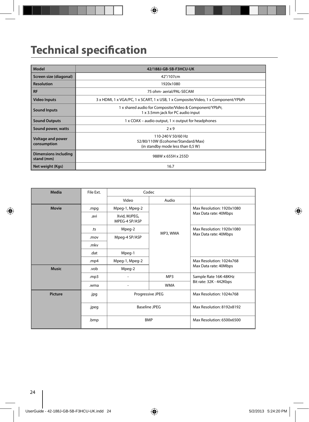# **Technical specification**

| Model                              | 42/188J-GB-5B-F3HCU-UK                                                                       |
|------------------------------------|----------------------------------------------------------------------------------------------|
| Screen size (diagonal)             | 42"/107cm                                                                                    |
| <b>Resolution</b>                  | 1920x1080                                                                                    |
| <b>RF</b>                          | 75 ohm- aerial/PAL-SECAM                                                                     |
| <b>Video Inputs</b>                | 3 x HDMI, 1 x VGA/PC, 1 x SCART, 1 x USB, 1 x Composite/Video, 1 x Component/YPbPr           |
| <b>Sound Inputs</b>                | 1 x shared audio for Composite/Video & Component/YPbPr,<br>1 x 3.5mm jack for PC audio input |
| <b>Sound Outputs</b>               | 1 x COAX – audio output, $1 \times$ output for headphones                                    |
| Sound power, watts                 | 2x9                                                                                          |
| Voltage and power<br>consumption   | 110-240 V 50/60 Hz<br>52/80/110W (Ecohome/Standard/Max)<br>(in standby mode less than 0,5 W) |
| Dimensions including<br>stand (mm) | 988W x 655H x 255D                                                                           |
| Net weight (Kgs)                   | 16.7                                                                                         |

| Media          | File Ext. | Codec                         |            |                           |
|----------------|-----------|-------------------------------|------------|---------------------------|
|                |           | Video                         | Audio      |                           |
| <b>Movie</b>   | .mpg      | Mpeg-1, Mpeg-2                |            | Max Resolution: 1920x1080 |
|                | .avi      | Xvid, MJPEG,<br>MPEG-4 SP/ASP |            | Max Data rate: 40Mbps     |
|                | .ts       | Mpeg-2                        |            | Max Resolution: 1920x1080 |
|                | .mov      | Mpeg-4 SP/ASP                 | MP3, WMA   | Max Data rate: 40Mbps     |
|                | .mkv      |                               |            |                           |
|                | .dat      | Mpeg-1                        |            |                           |
|                | .mp4      | Mpeg-1, Mpeg-2                |            | Max Resolution: 1024x768  |
| <b>Music</b>   | .vob      | Mpeg-2                        |            | Max Data rate: 40Mbps     |
|                | mp3.      |                               | MP3        | Sample Rate 16K-48KHz     |
|                | .wma      | $\overline{a}$                | <b>WMA</b> | Bit rate: 32K - 442Kbps   |
| <b>Picture</b> | .jpg      | Progressive JPEG              |            | Max Resolution: 1024x768  |
|                | .jpeg     | Baseline JPEG                 |            | Max Resolution: 8192x8192 |
|                | .bmp      | <b>BMP</b>                    |            | Max Resolution: 6500x6500 |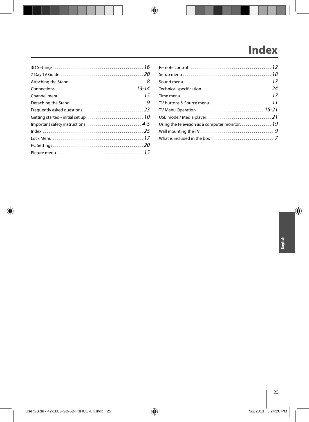# **Index**

| Technical specification $\ldots \ldots \ldots \ldots \ldots \ldots \ldots \ldots \ldots \ldots 24$ |  |
|----------------------------------------------------------------------------------------------------|--|
|                                                                                                    |  |
| TV buttons & Source menu $\,\ldots\ldots\ldots\ldots\ldots\ldots\ldots\ldots\ldots\,1$ 1           |  |
|                                                                                                    |  |
|                                                                                                    |  |
|                                                                                                    |  |
|                                                                                                    |  |
|                                                                                                    |  |
|                                                                                                    |  |